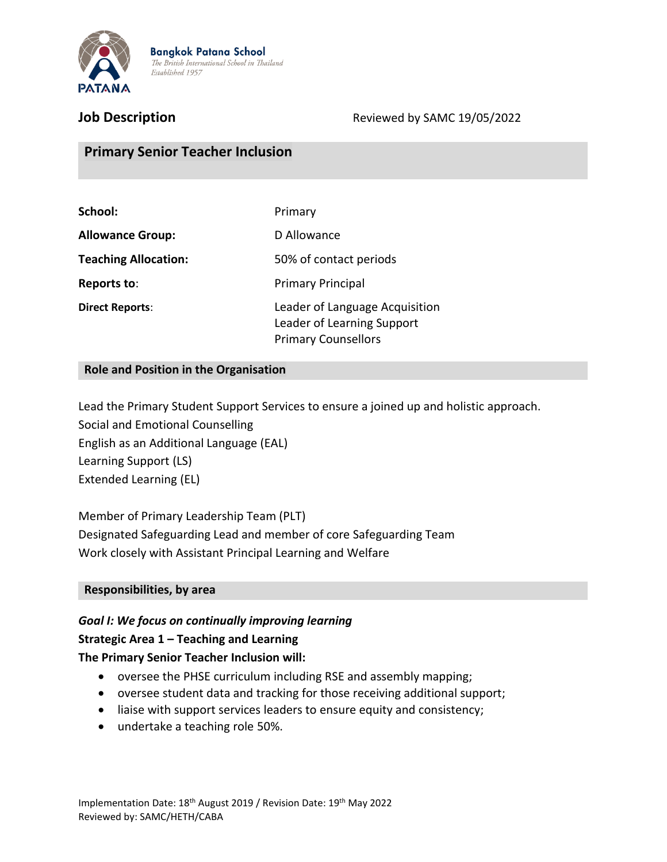

**Job Description** Reviewed by SAMC 19/05/2022

# **Primary Senior Teacher Inclusion**

| School:                     | Primary                                                                                    |  |
|-----------------------------|--------------------------------------------------------------------------------------------|--|
| <b>Allowance Group:</b>     | D Allowance                                                                                |  |
| <b>Teaching Allocation:</b> | 50% of contact periods                                                                     |  |
| Reports to:                 | <b>Primary Principal</b>                                                                   |  |
| <b>Direct Reports:</b>      | Leader of Language Acquisition<br>Leader of Learning Support<br><b>Primary Counsellors</b> |  |

#### **Role and Position in the Organisation**

Lead the Primary Student Support Services to ensure a joined up and holistic approach. Social and Emotional Counselling English as an Additional Language (EAL) Learning Support (LS) Extended Learning (EL)

Member of Primary Leadership Team (PLT) Designated Safeguarding Lead and member of core Safeguarding Team Work closely with Assistant Principal Learning and Welfare

#### **Responsibilities, by area**

# *Goal I: We focus on continually improving learning* **Strategic Area 1 – Teaching and Learning**

## **The Primary Senior Teacher Inclusion will:**

- oversee the PHSE curriculum including RSE and assembly mapping;
- oversee student data and tracking for those receiving additional support;
- liaise with support services leaders to ensure equity and consistency;
- undertake a teaching role 50%.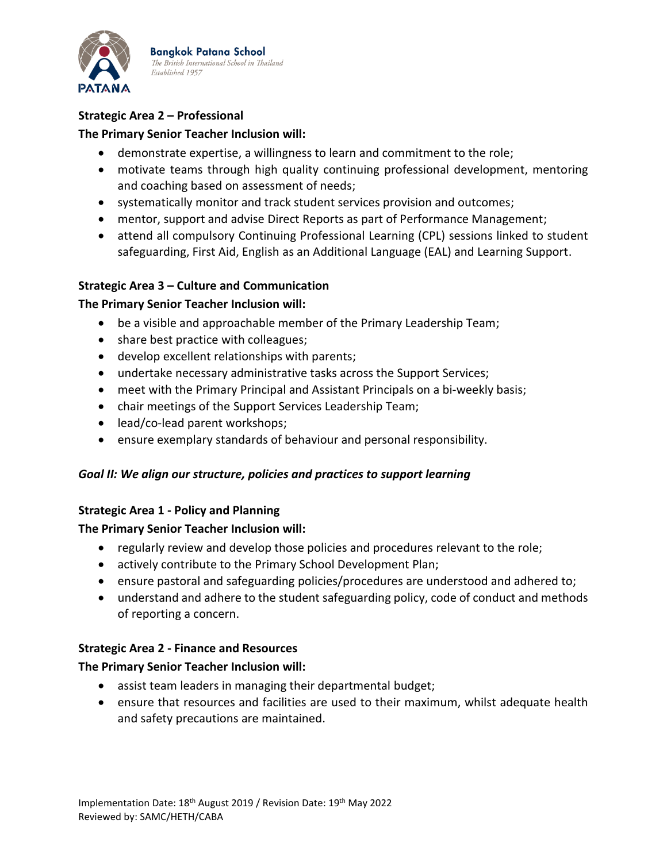

**Bangkok Patana School** The British International School in Thailand Established 1957

# **Strategic Area 2 – Professional**

## **The Primary Senior Teacher Inclusion will:**

- demonstrate expertise, a willingness to learn and commitment to the role;
- motivate teams through high quality continuing professional development, mentoring and coaching based on assessment of needs;
- systematically monitor and track student services provision and outcomes;
- mentor, support and advise Direct Reports as part of Performance Management;
- attend all compulsory Continuing Professional Learning (CPL) sessions linked to student safeguarding, First Aid, English as an Additional Language (EAL) and Learning Support.

#### **Strategic Area 3 – Culture and Communication**

#### **The Primary Senior Teacher Inclusion will:**

- be a visible and approachable member of the Primary Leadership Team;
- share best practice with colleagues;
- develop excellent relationships with parents;
- undertake necessary administrative tasks across the Support Services;
- meet with the Primary Principal and Assistant Principals on a bi-weekly basis;
- chair meetings of the Support Services Leadership Team;
- lead/co-lead parent workshops;
- ensure exemplary standards of behaviour and personal responsibility.

#### *Goal II: We align our structure, policies and practices to support learning*

#### **Strategic Area 1 - Policy and Planning**

#### **The Primary Senior Teacher Inclusion will:**

- regularly review and develop those policies and procedures relevant to the role;
- actively contribute to the Primary School Development Plan;
- ensure pastoral and safeguarding policies/procedures are understood and adhered to;
- understand and adhere to the student safeguarding policy, code of conduct and methods of reporting a concern.

#### **Strategic Area 2 - Finance and Resources**

#### **The Primary Senior Teacher Inclusion will:**

- assist team leaders in managing their departmental budget;
- ensure that resources and facilities are used to their maximum, whilst adequate health and safety precautions are maintained.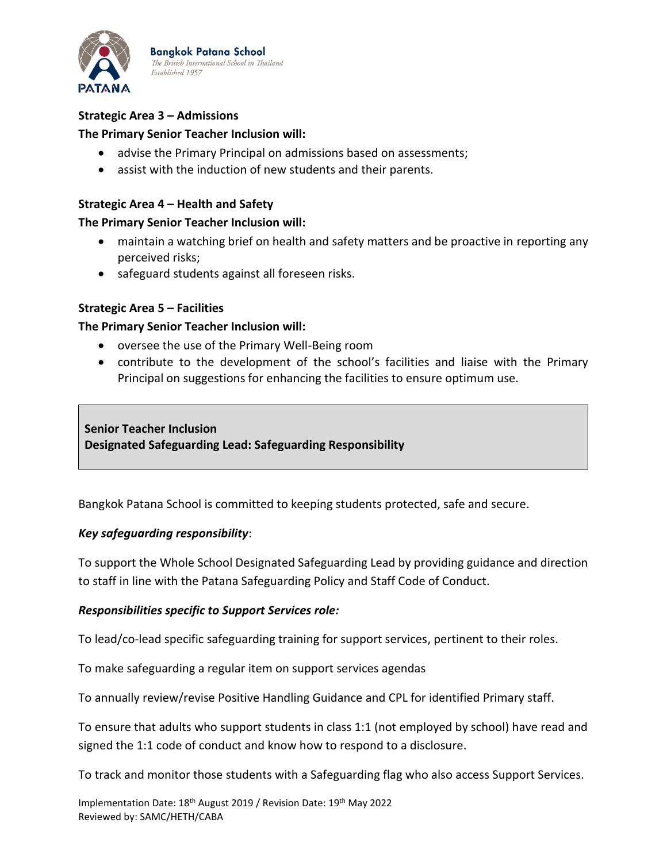

**Bangkok Patana School** The British International School in Thailand Established 1957

# **Strategic Area 3 – Admissions**

#### **The Primary Senior Teacher Inclusion will:**

- advise the Primary Principal on admissions based on assessments;
- assist with the induction of new students and their parents.

#### **Strategic Area 4 – Health and Safety**

#### **The Primary Senior Teacher Inclusion will:**

- maintain a watching brief on health and safety matters and be proactive in reporting any perceived risks;
- safeguard students against all foreseen risks.

#### **Strategic Area 5 – Facilities**

#### **The Primary Senior Teacher Inclusion will:**

- oversee the use of the Primary Well-Being room
- contribute to the development of the school's facilities and liaise with the Primary Principal on suggestions for enhancing the facilities to ensure optimum use.

**Senior Teacher Inclusion Designated Safeguarding Lead: Safeguarding Responsibility**

Bangkok Patana School is committed to keeping students protected, safe and secure.

#### *Key safeguarding responsibility*:

To support the Whole School Designated Safeguarding Lead by providing guidance and direction to staff in line with the Patana Safeguarding Policy and Staff Code of Conduct.

#### *Responsibilities specific to Support Services role:*

To lead/co-lead specific safeguarding training for support services, pertinent to their roles.

To make safeguarding a regular item on support services agendas

To annually review/revise Positive Handling Guidance and CPL for identified Primary staff.

To ensure that adults who support students in class 1:1 (not employed by school) have read and signed the 1:1 code of conduct and know how to respond to a disclosure.

To track and monitor those students with a Safeguarding flag who also access Support Services.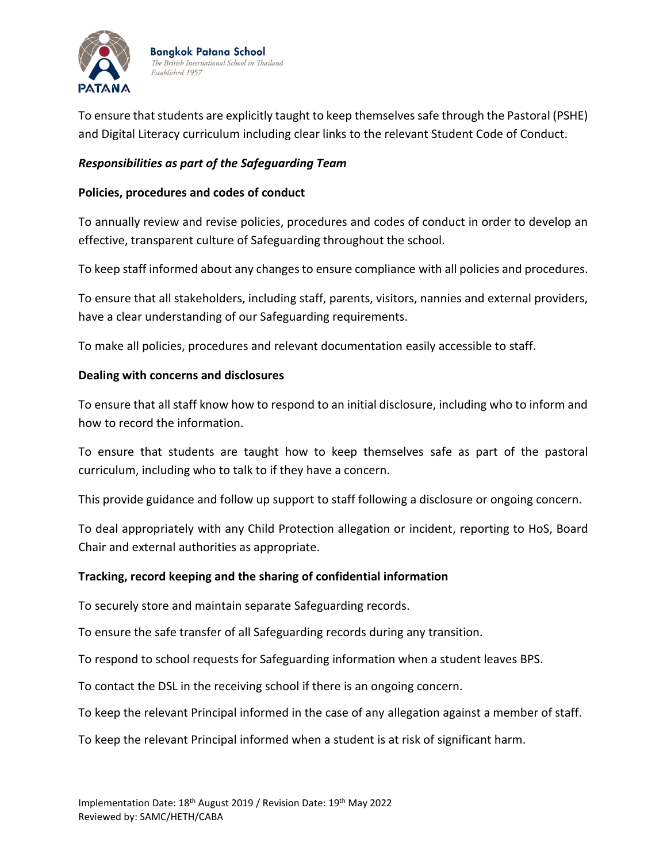

**Bangkok Patana School** The British International School in Thailand Established 1957

To ensure that students are explicitly taught to keep themselves safe through the Pastoral (PSHE) and Digital Literacy curriculum including clear links to the relevant Student Code of Conduct.

#### *Responsibilities as part of the Safeguarding Team*

#### **Policies, procedures and codes of conduct**

To annually review and revise policies, procedures and codes of conduct in order to develop an effective, transparent culture of Safeguarding throughout the school.

To keep staff informed about any changes to ensure compliance with all policies and procedures.

To ensure that all stakeholders, including staff, parents, visitors, nannies and external providers, have a clear understanding of our Safeguarding requirements.

To make all policies, procedures and relevant documentation easily accessible to staff.

#### **Dealing with concerns and disclosures**

To ensure that all staff know how to respond to an initial disclosure, including who to inform and how to record the information.

To ensure that students are taught how to keep themselves safe as part of the pastoral curriculum, including who to talk to if they have a concern.

This provide guidance and follow up support to staff following a disclosure or ongoing concern.

To deal appropriately with any Child Protection allegation or incident, reporting to HoS, Board Chair and external authorities as appropriate.

#### **Tracking, record keeping and the sharing of confidential information**

To securely store and maintain separate Safeguarding records.

To ensure the safe transfer of all Safeguarding records during any transition.

To respond to school requests for Safeguarding information when a student leaves BPS.

To contact the DSL in the receiving school if there is an ongoing concern.

To keep the relevant Principal informed in the case of any allegation against a member of staff.

To keep the relevant Principal informed when a student is at risk of significant harm.